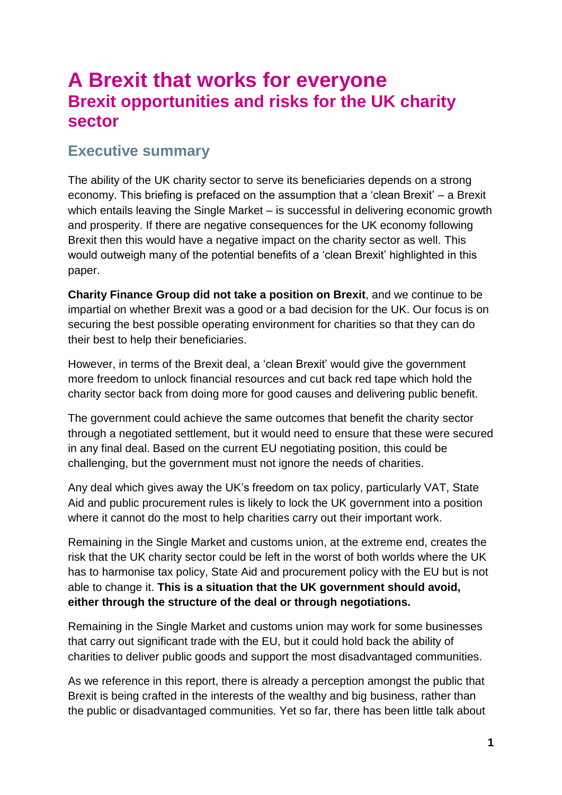# **A Brexit that works for everyone Brexit opportunities and risks for the UK charity sector**

### <span id="page-0-0"></span>**Executive summary**

The ability of the UK charity sector to serve its beneficiaries depends on a strong economy. This briefing is prefaced on the assumption that a "clean Brexit" – a Brexit which entails leaving the Single Market – is successful in delivering economic growth and prosperity. If there are negative consequences for the UK economy following Brexit then this would have a negative impact on the charity sector as well. This would outweigh many of the potential benefits of a "clean Brexit" highlighted in this paper.

**Charity Finance Group did not take a position on Brexit**, and we continue to be impartial on whether Brexit was a good or a bad decision for the UK. Our focus is on securing the best possible operating environment for charities so that they can do their best to help their beneficiaries.

However, in terms of the Brexit deal, a "clean Brexit" would give the government more freedom to unlock financial resources and cut back red tape which hold the charity sector back from doing more for good causes and delivering public benefit.

The government could achieve the same outcomes that benefit the charity sector through a negotiated settlement, but it would need to ensure that these were secured in any final deal. Based on the current EU negotiating position, this could be challenging, but the government must not ignore the needs of charities.

Any deal which gives away the UK"s freedom on tax policy, particularly VAT, State Aid and public procurement rules is likely to lock the UK government into a position where it cannot do the most to help charities carry out their important work.

Remaining in the Single Market and customs union, at the extreme end, creates the risk that the UK charity sector could be left in the worst of both worlds where the UK has to harmonise tax policy, State Aid and procurement policy with the EU but is not able to change it. **This is a situation that the UK government should avoid, either through the structure of the deal or through negotiations.** 

Remaining in the Single Market and customs union may work for some businesses that carry out significant trade with the EU, but it could hold back the ability of charities to deliver public goods and support the most disadvantaged communities.

As we reference in this report, there is already a perception amongst the public that Brexit is being crafted in the interests of the wealthy and big business, rather than the public or disadvantaged communities. Yet so far, there has been little talk about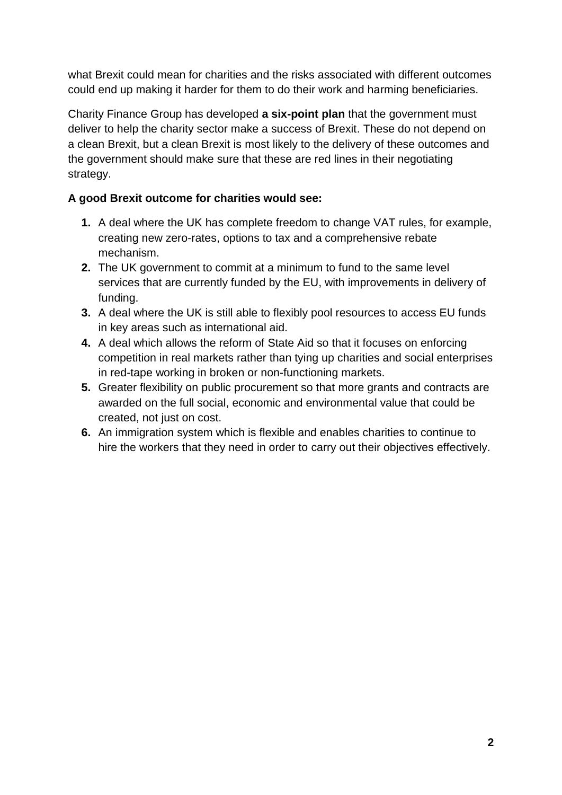what Brexit could mean for charities and the risks associated with different outcomes could end up making it harder for them to do their work and harming beneficiaries.

Charity Finance Group has developed **a six-point plan** that the government must deliver to help the charity sector make a success of Brexit. These do not depend on a clean Brexit, but a clean Brexit is most likely to the delivery of these outcomes and the government should make sure that these are red lines in their negotiating strategy.

#### **A good Brexit outcome for charities would see:**

- **1.** A deal where the UK has complete freedom to change VAT rules, for example, creating new zero-rates, options to tax and a comprehensive rebate mechanism.
- **2.** The UK government to commit at a minimum to fund to the same level services that are currently funded by the EU, with improvements in delivery of funding.
- **3.** A deal where the UK is still able to flexibly pool resources to access EU funds in key areas such as international aid.
- **4.** A deal which allows the reform of State Aid so that it focuses on enforcing competition in real markets rather than tying up charities and social enterprises in red-tape working in broken or non-functioning markets.
- **5.** Greater flexibility on public procurement so that more grants and contracts are awarded on the full social, economic and environmental value that could be created, not just on cost.
- <span id="page-1-0"></span>**6.** An immigration system which is flexible and enables charities to continue to hire the workers that they need in order to carry out their objectives effectively.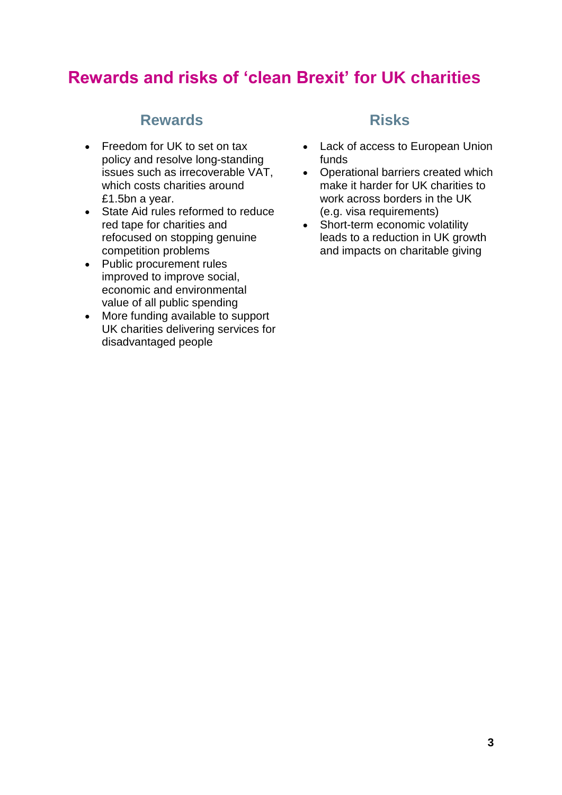# **Rewards and risks of 'clean Brexit' for UK charities**

### **Rewards Risks**

- Freedom for UK to set on tax policy and resolve long-standing issues such as irrecoverable VAT, which costs charities around £1.5bn a year.
- State Aid rules reformed to reduce red tape for charities and refocused on stopping genuine competition problems
- Public procurement rules improved to improve social, economic and environmental value of all public spending
- More funding available to support UK charities delivering services for disadvantaged people

- Lack of access to European Union funds
- Operational barriers created which make it harder for UK charities to work across borders in the UK (e.g. visa requirements)
- Short-term economic volatility leads to a reduction in UK growth and impacts on charitable giving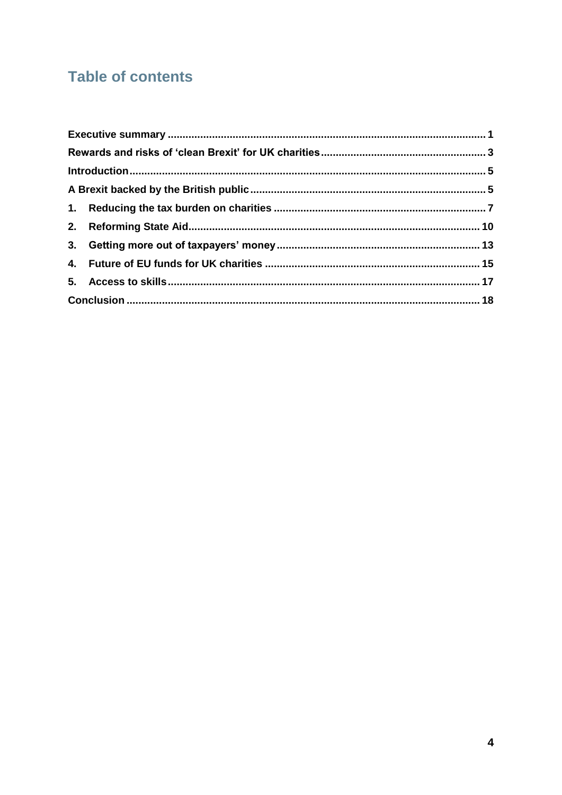# **Table of contents**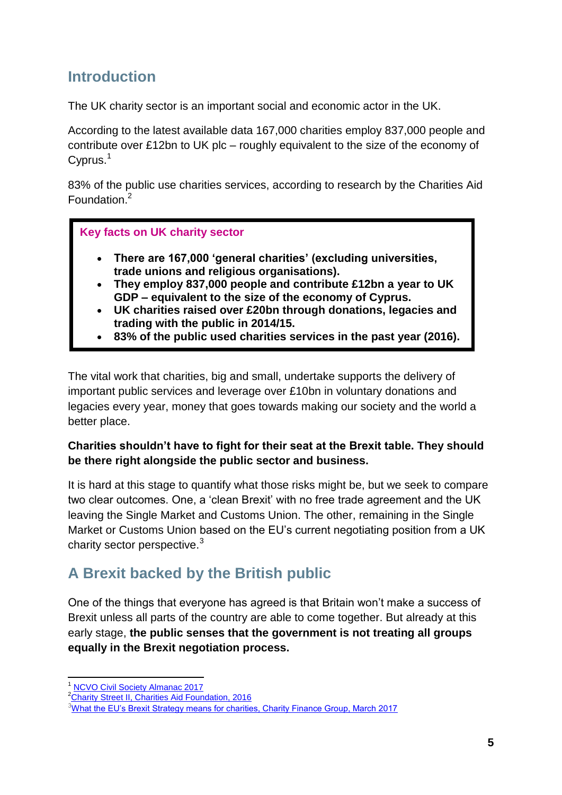### <span id="page-4-0"></span>**Introduction**

The UK charity sector is an important social and economic actor in the UK.

According to the latest available data 167,000 charities employ 837,000 people and contribute over £12bn to UK plc – roughly equivalent to the size of the economy of Cyprus.<sup>1</sup>

83% of the public use charities services, according to research by the Charities Aid Foundation.<sup>2</sup>

#### **Key facts on UK charity sector**

- **There are 167,000 'general charities' (excluding universities, trade unions and religious organisations).**
- **They employ 837,000 people and contribute £12bn a year to UK GDP – equivalent to the size of the economy of Cyprus.**
- **UK charities raised over £20bn through donations, legacies and trading with the public in 2014/15.**
- **83% of the public used charities services in the past year (2016).**

The vital work that charities, big and small, undertake supports the delivery of important public services and leverage over £10bn in voluntary donations and legacies every year, money that goes towards making our society and the world a better place.

#### **Charities shouldn't have to fight for their seat at the Brexit table. They should be there right alongside the public sector and business.**

It is hard at this stage to quantify what those risks might be, but we seek to compare two clear outcomes. One, a "clean Brexit" with no free trade agreement and the UK leaving the Single Market and Customs Union. The other, remaining in the Single Market or Customs Union based on the EU"s current negotiating position from a UK charity sector perspective.<sup>3</sup>

### <span id="page-4-1"></span>**A Brexit backed by the British public**

One of the things that everyone has agreed is that Britain won"t make a success of Brexit unless all parts of the country are able to come together. But already at this early stage, **the public senses that the government is not treating all groups equally in the Brexit negotiation process.**

 $\overline{\phantom{a}}$ <sup>1</sup> [NCVO Civil Society Almanac 2017](https://data.ncvo.org.uk/category/almanac/voluntary-sector/sector-overview/)

<sup>&</sup>lt;sup>2</sup>[Charity Street II, Charities Aid Foundation, 2016](https://www.cafonline.org/about-us/publications/2016-publications/charity-street-ii-a-report-into-how-we-use-charities-in-the-uk)

<sup>&</sup>lt;sup>3</sup>What the EU's Brexit Strategy means for charities, Charity Finance Group, March 2017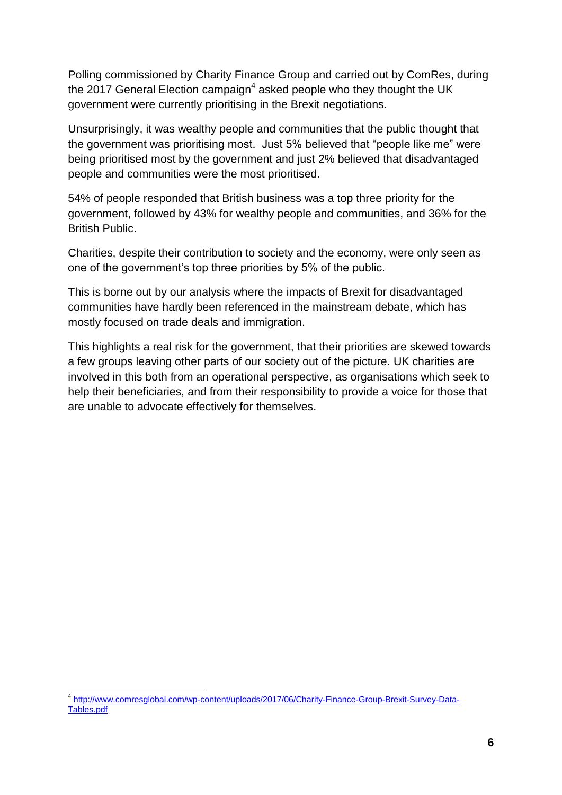Polling commissioned by Charity Finance Group and carried out by ComRes, during the 2017 General Election campaign<sup>4</sup> asked people who they thought the UK government were currently prioritising in the Brexit negotiations.

Unsurprisingly, it was wealthy people and communities that the public thought that the government was prioritising most. Just 5% believed that "people like me" were being prioritised most by the government and just 2% believed that disadvantaged people and communities were the most prioritised.

54% of people responded that British business was a top three priority for the government, followed by 43% for wealthy people and communities, and 36% for the British Public.

Charities, despite their contribution to society and the economy, were only seen as one of the government"s top three priorities by 5% of the public.

This is borne out by our analysis where the impacts of Brexit for disadvantaged communities have hardly been referenced in the mainstream debate, which has mostly focused on trade deals and immigration.

This highlights a real risk for the government, that their priorities are skewed towards a few groups leaving other parts of our society out of the picture. UK charities are involved in this both from an operational perspective, as organisations which seek to help their beneficiaries, and from their responsibility to provide a voice for those that are unable to advocate effectively for themselves.

 $\overline{a}$ 

<sup>&</sup>lt;sup>4</sup> [http://www.comresglobal.com/wp-content/uploads/2017/06/Charity-Finance-Group-Brexit-Survey-Data-](http://www.comresglobal.com/wp-content/uploads/2017/06/Charity-Finance-Group-Brexit-Survey-Data-Tables.pdf)[Tables.pdf](http://www.comresglobal.com/wp-content/uploads/2017/06/Charity-Finance-Group-Brexit-Survey-Data-Tables.pdf)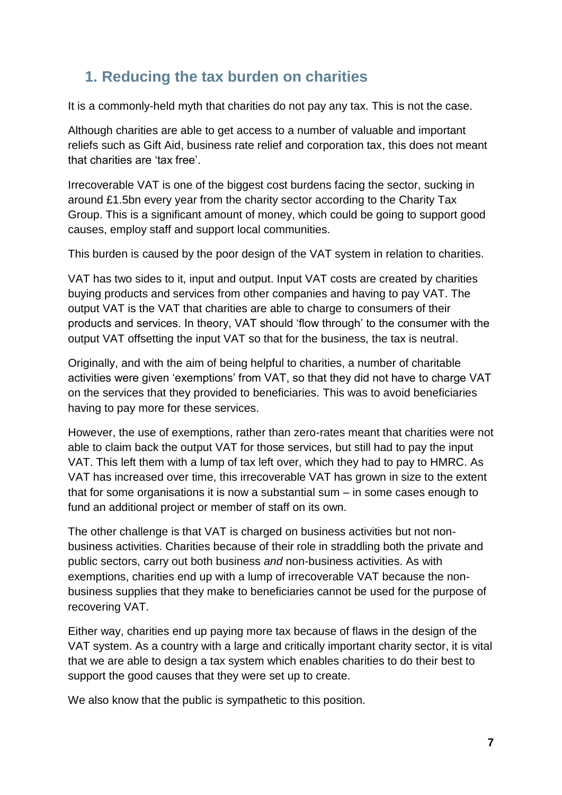### <span id="page-6-0"></span>**1. Reducing the tax burden on charities**

It is a commonly-held myth that charities do not pay any tax. This is not the case.

Although charities are able to get access to a number of valuable and important reliefs such as Gift Aid, business rate relief and corporation tax, this does not meant that charities are 'tax free'.

Irrecoverable VAT is one of the biggest cost burdens facing the sector, sucking in around £1.5bn every year from the charity sector according to the Charity Tax Group. This is a significant amount of money, which could be going to support good causes, employ staff and support local communities.

This burden is caused by the poor design of the VAT system in relation to charities.

VAT has two sides to it, input and output. Input VAT costs are created by charities buying products and services from other companies and having to pay VAT. The output VAT is the VAT that charities are able to charge to consumers of their products and services. In theory, VAT should "flow through" to the consumer with the output VAT offsetting the input VAT so that for the business, the tax is neutral.

Originally, and with the aim of being helpful to charities, a number of charitable activities were given "exemptions" from VAT, so that they did not have to charge VAT on the services that they provided to beneficiaries. This was to avoid beneficiaries having to pay more for these services.

However, the use of exemptions, rather than zero-rates meant that charities were not able to claim back the output VAT for those services, but still had to pay the input VAT. This left them with a lump of tax left over, which they had to pay to HMRC. As VAT has increased over time, this irrecoverable VAT has grown in size to the extent that for some organisations it is now a substantial sum – in some cases enough to fund an additional project or member of staff on its own.

The other challenge is that VAT is charged on business activities but not nonbusiness activities. Charities because of their role in straddling both the private and public sectors, carry out both business *and* non-business activities. As with exemptions, charities end up with a lump of irrecoverable VAT because the nonbusiness supplies that they make to beneficiaries cannot be used for the purpose of recovering VAT.

Either way, charities end up paying more tax because of flaws in the design of the VAT system. As a country with a large and critically important charity sector, it is vital that we are able to design a tax system which enables charities to do their best to support the good causes that they were set up to create.

We also know that the public is sympathetic to this position.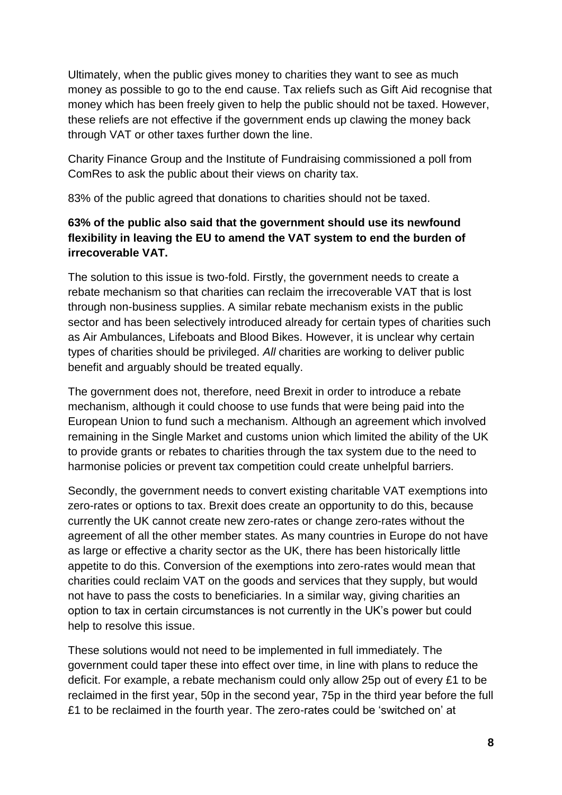Ultimately, when the public gives money to charities they want to see as much money as possible to go to the end cause. Tax reliefs such as Gift Aid recognise that money which has been freely given to help the public should not be taxed. However, these reliefs are not effective if the government ends up clawing the money back through VAT or other taxes further down the line.

Charity Finance Group and the Institute of Fundraising commissioned a poll from ComRes to ask the public about their views on charity tax.

83% of the public agreed that donations to charities should not be taxed.

### **63% of the public also said that the government should use its newfound flexibility in leaving the EU to amend the VAT system to end the burden of irrecoverable VAT.**

The solution to this issue is two-fold. Firstly, the government needs to create a rebate mechanism so that charities can reclaim the irrecoverable VAT that is lost through non-business supplies. A similar rebate mechanism exists in the public sector and has been selectively introduced already for certain types of charities such as Air Ambulances, Lifeboats and Blood Bikes. However, it is unclear why certain types of charities should be privileged. *All* charities are working to deliver public benefit and arguably should be treated equally.

The government does not, therefore, need Brexit in order to introduce a rebate mechanism, although it could choose to use funds that were being paid into the European Union to fund such a mechanism. Although an agreement which involved remaining in the Single Market and customs union which limited the ability of the UK to provide grants or rebates to charities through the tax system due to the need to harmonise policies or prevent tax competition could create unhelpful barriers.

Secondly, the government needs to convert existing charitable VAT exemptions into zero-rates or options to tax. Brexit does create an opportunity to do this, because currently the UK cannot create new zero-rates or change zero-rates without the agreement of all the other member states. As many countries in Europe do not have as large or effective a charity sector as the UK, there has been historically little appetite to do this. Conversion of the exemptions into zero-rates would mean that charities could reclaim VAT on the goods and services that they supply, but would not have to pass the costs to beneficiaries. In a similar way, giving charities an option to tax in certain circumstances is not currently in the UK"s power but could help to resolve this issue.

These solutions would not need to be implemented in full immediately. The government could taper these into effect over time, in line with plans to reduce the deficit. For example, a rebate mechanism could only allow 25p out of every £1 to be reclaimed in the first year, 50p in the second year, 75p in the third year before the full £1 to be reclaimed in the fourth year. The zero-rates could be "switched on" at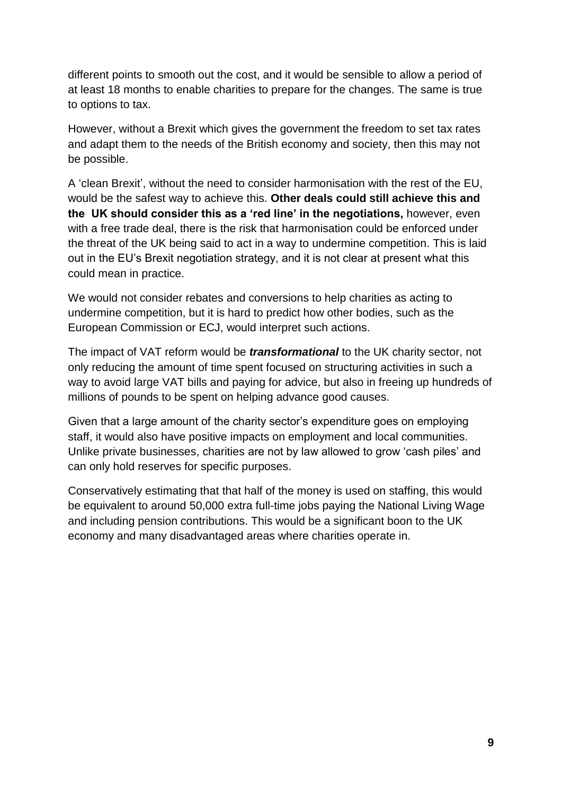different points to smooth out the cost, and it would be sensible to allow a period of at least 18 months to enable charities to prepare for the changes. The same is true to options to tax.

However, without a Brexit which gives the government the freedom to set tax rates and adapt them to the needs of the British economy and society, then this may not be possible.

A "clean Brexit", without the need to consider harmonisation with the rest of the EU, would be the safest way to achieve this. **Other deals could still achieve this and the UK should consider this as a 'red line' in the negotiations,** however, even with a free trade deal, there is the risk that harmonisation could be enforced under the threat of the UK being said to act in a way to undermine competition. This is laid out in the EU"s Brexit negotiation strategy, and it is not clear at present what this could mean in practice.

We would not consider rebates and conversions to help charities as acting to undermine competition, but it is hard to predict how other bodies, such as the European Commission or ECJ, would interpret such actions.

The impact of VAT reform would be *transformational* to the UK charity sector, not only reducing the amount of time spent focused on structuring activities in such a way to avoid large VAT bills and paying for advice, but also in freeing up hundreds of millions of pounds to be spent on helping advance good causes.

Given that a large amount of the charity sector"s expenditure goes on employing staff, it would also have positive impacts on employment and local communities. Unlike private businesses, charities are not by law allowed to grow "cash piles" and can only hold reserves for specific purposes.

Conservatively estimating that that half of the money is used on staffing, this would be equivalent to around 50,000 extra full-time jobs paying the National Living Wage and including pension contributions. This would be a significant boon to the UK economy and many disadvantaged areas where charities operate in.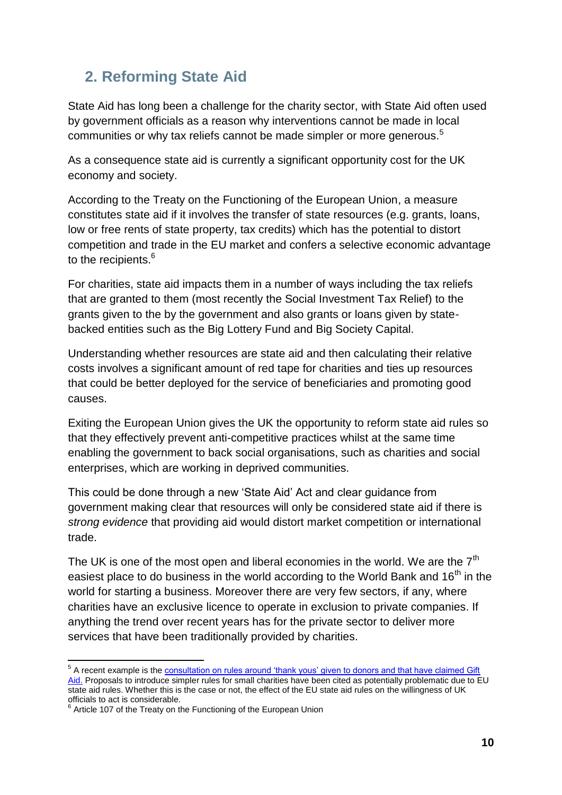### <span id="page-9-0"></span>**2. Reforming State Aid**

State Aid has long been a challenge for the charity sector, with State Aid often used by government officials as a reason why interventions cannot be made in local communities or why tax reliefs cannot be made simpler or more generous.<sup>5</sup>

As a consequence state aid is currently a significant opportunity cost for the UK economy and society.

According to the Treaty on the Functioning of the European Union, a measure constitutes state aid if it involves the transfer of state resources (e.g. grants, loans, low or free rents of state property, tax credits) which has the potential to distort competition and trade in the EU market and confers a selective economic advantage to the recipients.<sup>6</sup>

For charities, state aid impacts them in a number of ways including the tax reliefs that are granted to them (most recently the Social Investment Tax Relief) to the grants given to the by the government and also grants or loans given by statebacked entities such as the Big Lottery Fund and Big Society Capital.

Understanding whether resources are state aid and then calculating their relative costs involves a significant amount of red tape for charities and ties up resources that could be better deployed for the service of beneficiaries and promoting good causes.

Exiting the European Union gives the UK the opportunity to reform state aid rules so that they effectively prevent anti-competitive practices whilst at the same time enabling the government to back social organisations, such as charities and social enterprises, which are working in deprived communities.

This could be done through a new "State Aid" Act and clear guidance from government making clear that resources will only be considered state aid if there is *strong evidence* that providing aid would distort market competition or international trade.

The UK is one of the most open and liberal economies in the world. We are the  $7<sup>th</sup>$ easiest place to do business in the world according to the World Bank and  $16<sup>th</sup>$  in the world for starting a business. Moreover there are very few sectors, if any, where charities have an exclusive licence to operate in exclusion to private companies. If anything the trend over recent years has for the private sector to deliver more services that have been traditionally provided by charities.

 5 A recent example is the [consultation on rules around "thank yous" given to donors and that have claimed Gift](https://www.gov.uk/government/uploads/system/uploads/attachment_data/file/568219/gift_aid_consultation_response_final.pdf)  [Aid.](https://www.gov.uk/government/uploads/system/uploads/attachment_data/file/568219/gift_aid_consultation_response_final.pdf) Proposals to introduce simpler rules for small charities have been cited as potentially problematic due to EU state aid rules. Whether this is the case or not, the effect of the EU state aid rules on the willingness of UK officials to act is considerable.<br><sup>6</sup> Article 107 of the Treaty on the Functioning of the European Union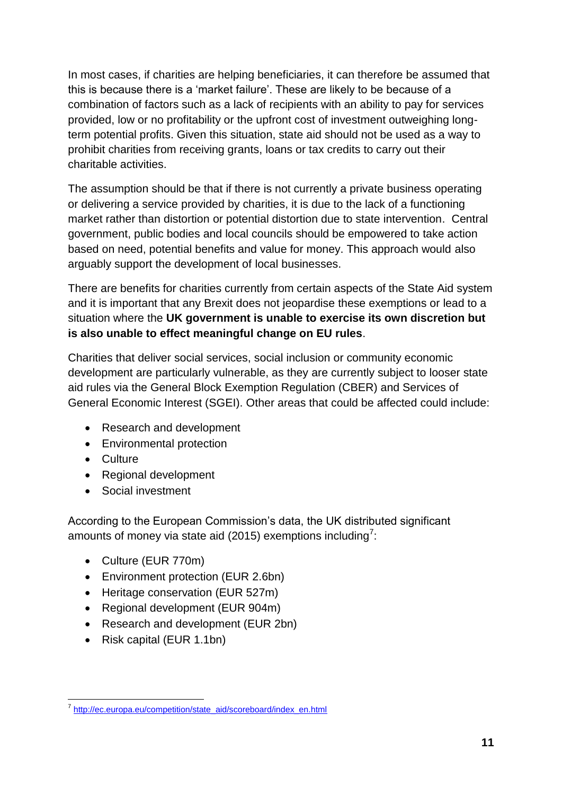In most cases, if charities are helping beneficiaries, it can therefore be assumed that this is because there is a "market failure". These are likely to be because of a combination of factors such as a lack of recipients with an ability to pay for services provided, low or no profitability or the upfront cost of investment outweighing longterm potential profits. Given this situation, state aid should not be used as a way to prohibit charities from receiving grants, loans or tax credits to carry out their charitable activities.

The assumption should be that if there is not currently a private business operating or delivering a service provided by charities, it is due to the lack of a functioning market rather than distortion or potential distortion due to state intervention. Central government, public bodies and local councils should be empowered to take action based on need, potential benefits and value for money. This approach would also arguably support the development of local businesses.

There are benefits for charities currently from certain aspects of the State Aid system and it is important that any Brexit does not jeopardise these exemptions or lead to a situation where the **UK government is unable to exercise its own discretion but is also unable to effect meaningful change on EU rules**.

Charities that deliver social services, social inclusion or community economic development are particularly vulnerable, as they are currently subject to looser state aid rules via the General Block Exemption Regulation (CBER) and Services of General Economic Interest (SGEI). Other areas that could be affected could include:

- Research and development
- Environmental protection
- Culture
- Regional development
- Social investment

According to the European Commission"s data, the UK distributed significant amounts of money via state aid (2015) exemptions including<sup>7</sup>:

- Culture (EUR 770m)
- Environment protection (EUR 2.6bn)
- Heritage conservation (EUR 527m)
- Regional development (EUR 904m)
- Research and development (EUR 2bn)
- Risk capital (EUR 1.1bn)

 7 [http://ec.europa.eu/competition/state\\_aid/scoreboard/index\\_en.html](http://ec.europa.eu/competition/state_aid/scoreboard/index_en.html)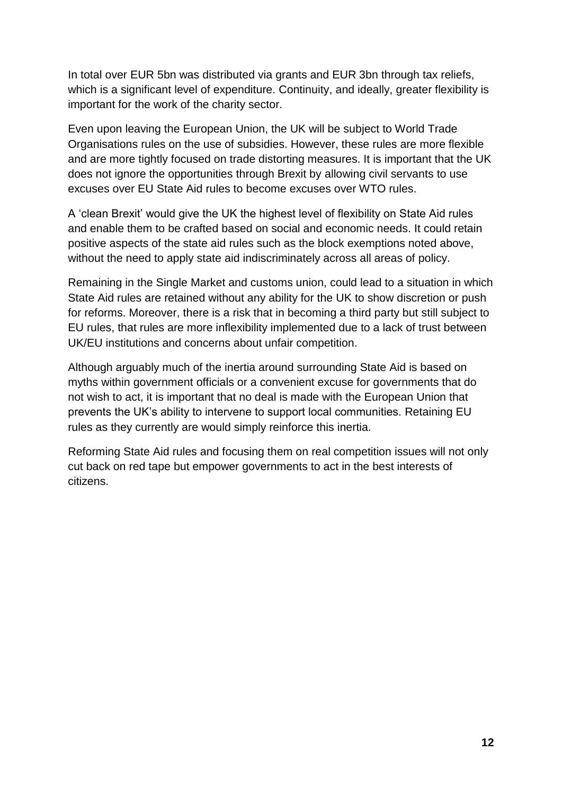In total over EUR 5bn was distributed via grants and EUR 3bn through tax reliefs, which is a significant level of expenditure. Continuity, and ideally, greater flexibility is important for the work of the charity sector.

Even upon leaving the European Union, the UK will be subject to World Trade Organisations rules on the use of subsidies. However, these rules are more flexible and are more tightly focused on trade distorting measures. It is important that the UK does not ignore the opportunities through Brexit by allowing civil servants to use excuses over EU State Aid rules to become excuses over WTO rules.

A "clean Brexit" would give the UK the highest level of flexibility on State Aid rules and enable them to be crafted based on social and economic needs. It could retain positive aspects of the state aid rules such as the block exemptions noted above, without the need to apply state aid indiscriminately across all areas of policy.

Remaining in the Single Market and customs union, could lead to a situation in which State Aid rules are retained without any ability for the UK to show discretion or push for reforms. Moreover, there is a risk that in becoming a third party but still subject to EU rules, that rules are more inflexibility implemented due to a lack of trust between UK/EU institutions and concerns about unfair competition.

Although arguably much of the inertia around surrounding State Aid is based on myths within government officials or a convenient excuse for governments that do not wish to act, it is important that no deal is made with the European Union that prevents the UK"s ability to intervene to support local communities. Retaining EU rules as they currently are would simply reinforce this inertia.

Reforming State Aid rules and focusing them on real competition issues will not only cut back on red tape but empower governments to act in the best interests of citizens.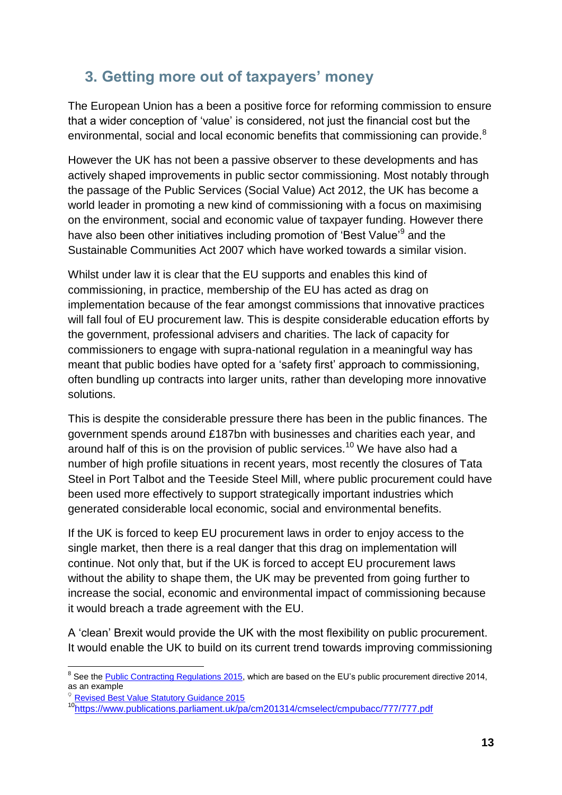### <span id="page-12-0"></span>**3. Getting more out of taxpayers' money**

The European Union has a been a positive force for reforming commission to ensure that a wider conception of "value" is considered, not just the financial cost but the environmental, social and local economic benefits that commissioning can provide.<sup>8</sup>

However the UK has not been a passive observer to these developments and has actively shaped improvements in public sector commissioning. Most notably through the passage of the Public Services (Social Value) Act 2012, the UK has become a world leader in promoting a new kind of commissioning with a focus on maximising on the environment, social and economic value of taxpayer funding. However there have also been other initiatives including promotion of 'Best Value'<sup>9</sup> and the Sustainable Communities Act 2007 which have worked towards a similar vision.

Whilst under law it is clear that the EU supports and enables this kind of commissioning, in practice, membership of the EU has acted as drag on implementation because of the fear amongst commissions that innovative practices will fall foul of EU procurement law. This is despite considerable education efforts by the government, professional advisers and charities. The lack of capacity for commissioners to engage with supra-national regulation in a meaningful way has meant that public bodies have opted for a "safety first" approach to commissioning, often bundling up contracts into larger units, rather than developing more innovative solutions.

This is despite the considerable pressure there has been in the public finances. The government spends around £187bn with businesses and charities each year, and around half of this is on the provision of public services.<sup>10</sup> We have also had a number of high profile situations in recent years, most recently the closures of Tata Steel in Port Talbot and the Teeside Steel Mill, where public procurement could have been used more effectively to support strategically important industries which generated considerable local economic, social and environmental benefits.

If the UK is forced to keep EU procurement laws in order to enjoy access to the single market, then there is a real danger that this drag on implementation will continue. Not only that, but if the UK is forced to accept EU procurement laws without the ability to shape them, the UK may be prevented from going further to increase the social, economic and environmental impact of commissioning because it would breach a trade agreement with the EU.

A "clean" Brexit would provide the UK with the most flexibility on public procurement. It would enable the UK to build on its current trend towards improving commissioning

**.** 

<sup>&</sup>lt;sup>8</sup> See the **Public Contracting Regulations 2015**, which are based on the EU's public procurement directive 2014, as an example

 $9$  [Revised Best Value Statutory Guidance 2015](https://www.gov.uk/government/uploads/system/uploads/attachment_data/file/418505/Revised_Best_Value_Statutory_Guidance_final.pdf)

<sup>10</sup><https://www.publications.parliament.uk/pa/cm201314/cmselect/cmpubacc/777/777.pdf>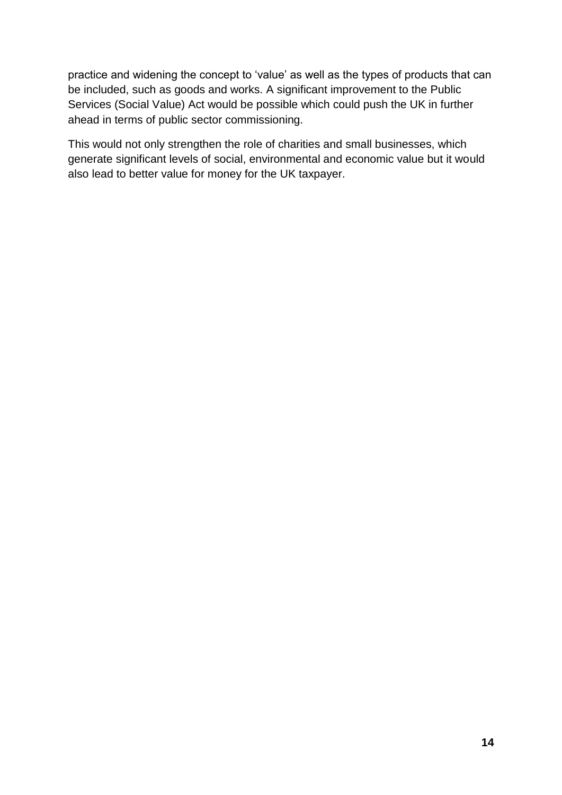practice and widening the concept to "value" as well as the types of products that can be included, such as goods and works. A significant improvement to the Public Services (Social Value) Act would be possible which could push the UK in further ahead in terms of public sector commissioning.

This would not only strengthen the role of charities and small businesses, which generate significant levels of social, environmental and economic value but it would also lead to better value for money for the UK taxpayer.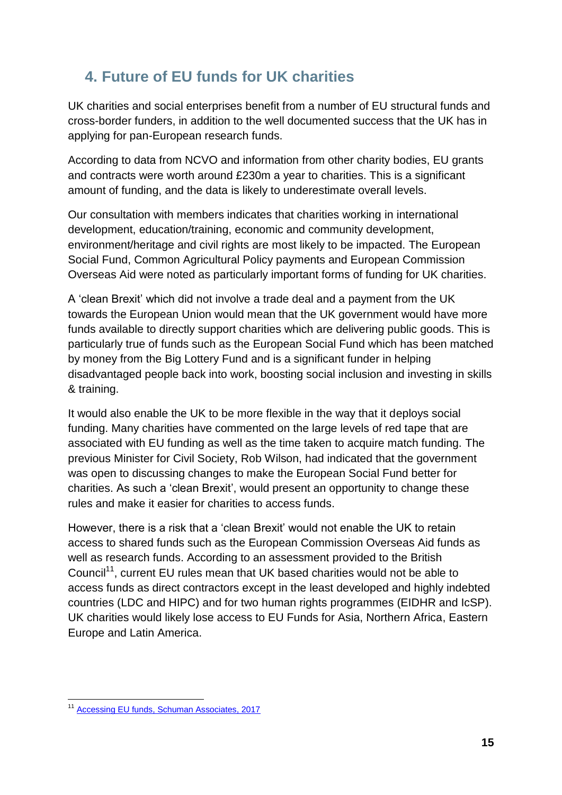### <span id="page-14-0"></span>**4. Future of EU funds for UK charities**

UK charities and social enterprises benefit from a number of EU structural funds and cross-border funders, in addition to the well documented success that the UK has in applying for pan-European research funds.

According to data from NCVO and information from other charity bodies, EU grants and contracts were worth around £230m a year to charities. This is a significant amount of funding, and the data is likely to underestimate overall levels.

Our consultation with members indicates that charities working in international development, education/training, economic and community development, environment/heritage and civil rights are most likely to be impacted. The European Social Fund, Common Agricultural Policy payments and European Commission Overseas Aid were noted as particularly important forms of funding for UK charities.

A "clean Brexit" which did not involve a trade deal and a payment from the UK towards the European Union would mean that the UK government would have more funds available to directly support charities which are delivering public goods. This is particularly true of funds such as the European Social Fund which has been matched by money from the Big Lottery Fund and is a significant funder in helping disadvantaged people back into work, boosting social inclusion and investing in skills & training.

It would also enable the UK to be more flexible in the way that it deploys social funding. Many charities have commented on the large levels of red tape that are associated with EU funding as well as the time taken to acquire match funding. The previous Minister for Civil Society, Rob Wilson, had indicated that the government was open to discussing changes to make the European Social Fund better for charities. As such a "clean Brexit", would present an opportunity to change these rules and make it easier for charities to access funds.

However, there is a risk that a "clean Brexit" would not enable the UK to retain access to shared funds such as the European Commission Overseas Aid funds as well as research funds. According to an assessment provided to the British Council<sup>11</sup>, current EU rules mean that UK based charities would not be able to access funds as direct contractors except in the least developed and highly indebted countries (LDC and HIPC) and for two human rights programmes (EIDHR and IcSP). UK charities would likely lose access to EU Funds for Asia, Northern Africa, Eastern Europe and Latin America.

**<sup>.</sup>** <sup>11</sup> [Accessing EU funds, Schuman Associates, 2017](https://www.britishcouncil.org/sites/default/files/accessing_eu_funds_-_summary_version.pdf)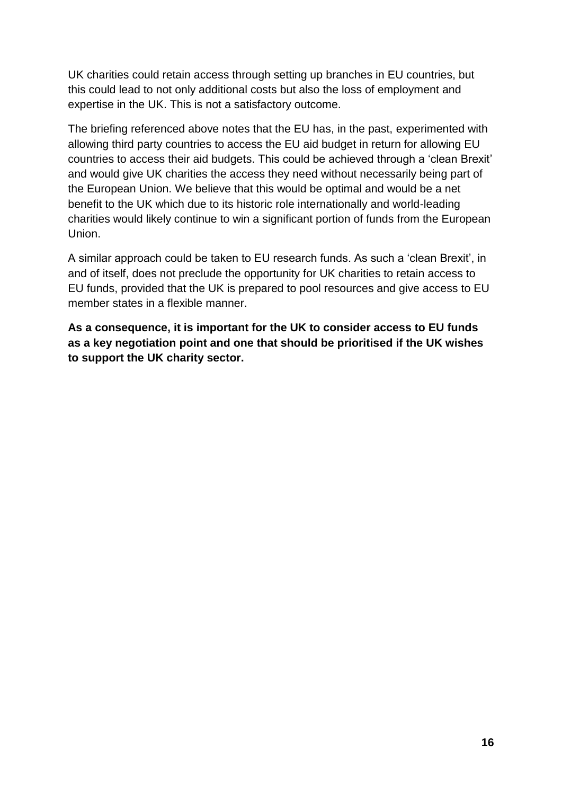UK charities could retain access through setting up branches in EU countries, but this could lead to not only additional costs but also the loss of employment and expertise in the UK. This is not a satisfactory outcome.

The briefing referenced above notes that the EU has, in the past, experimented with allowing third party countries to access the EU aid budget in return for allowing EU countries to access their aid budgets. This could be achieved through a "clean Brexit" and would give UK charities the access they need without necessarily being part of the European Union. We believe that this would be optimal and would be a net benefit to the UK which due to its historic role internationally and world-leading charities would likely continue to win a significant portion of funds from the European Union.

A similar approach could be taken to EU research funds. As such a "clean Brexit", in and of itself, does not preclude the opportunity for UK charities to retain access to EU funds, provided that the UK is prepared to pool resources and give access to EU member states in a flexible manner.

**As a consequence, it is important for the UK to consider access to EU funds as a key negotiation point and one that should be prioritised if the UK wishes to support the UK charity sector.**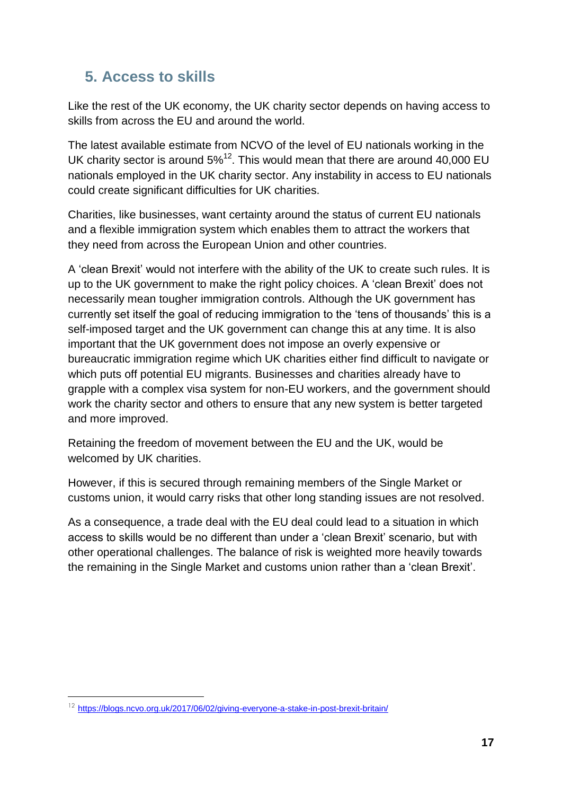### <span id="page-16-0"></span>**5. Access to skills**

Like the rest of the UK economy, the UK charity sector depends on having access to skills from across the EU and around the world.

The latest available estimate from NCVO of the level of EU nationals working in the UK charity sector is around  $5\%^{12}$ . This would mean that there are around 40,000 EU nationals employed in the UK charity sector. Any instability in access to EU nationals could create significant difficulties for UK charities.

Charities, like businesses, want certainty around the status of current EU nationals and a flexible immigration system which enables them to attract the workers that they need from across the European Union and other countries.

A "clean Brexit" would not interfere with the ability of the UK to create such rules. It is up to the UK government to make the right policy choices. A "clean Brexit" does not necessarily mean tougher immigration controls. Although the UK government has currently set itself the goal of reducing immigration to the "tens of thousands" this is a self-imposed target and the UK government can change this at any time. It is also important that the UK government does not impose an overly expensive or bureaucratic immigration regime which UK charities either find difficult to navigate or which puts off potential EU migrants. Businesses and charities already have to grapple with a complex visa system for non-EU workers, and the government should work the charity sector and others to ensure that any new system is better targeted and more improved.

Retaining the freedom of movement between the EU and the UK, would be welcomed by UK charities.

However, if this is secured through remaining members of the Single Market or customs union, it would carry risks that other long standing issues are not resolved.

As a consequence, a trade deal with the EU deal could lead to a situation in which access to skills would be no different than under a "clean Brexit" scenario, but with other operational challenges. The balance of risk is weighted more heavily towards the remaining in the Single Market and customs union rather than a "clean Brexit".

**.** 

<sup>&</sup>lt;sup>12</sup> <https://blogs.ncvo.org.uk/2017/06/02/giving-everyone-a-stake-in-post-brexit-britain/>